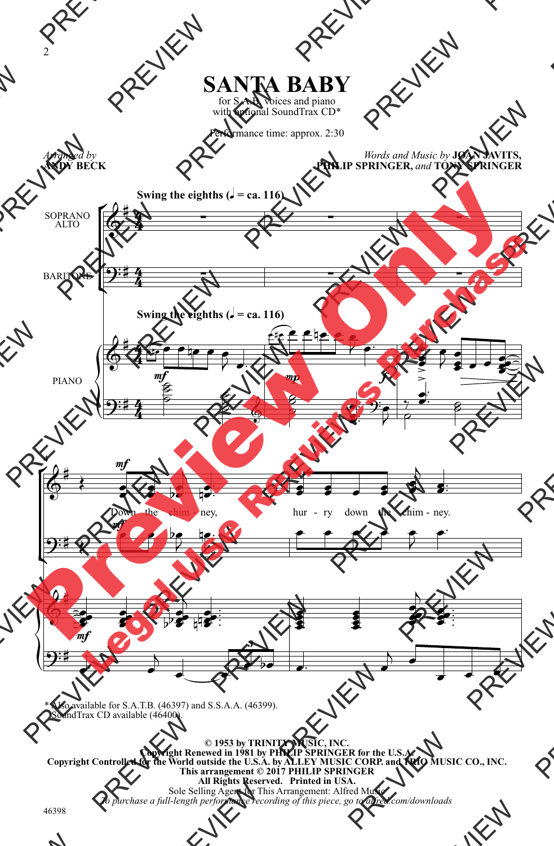

with optional SoundTrax CD\*

Performance time: approx. 2:30

*Arranged by* **ANDY BECK**

*Words and Music by* **JOAN JAVITS, PHILIP SPRINGER,** *and* **TONY SPRINGER**



\* Also available for S.A.T.B. (46397) and S.S.A.A. (46399). SoundTrax CD available (46400).

**© 1953 by TRINITY MUSIC, INC. Copyright Renewed in 1981 by PHILIP SPRINGER for the U.S.A. Copyright Controlled for the World outside the U.S.A. by ALLEY MUSIC CORP. and TRIO MUSIC CO., INC. This arrangement © 2017 PHILIP SPRINGER All Rights Reserved. Printed in USA.** Sole Selling Agent for This Arrangement: Alfred Music *To purchase a full-length performance recording of this piece, go to alfred.com/downloads*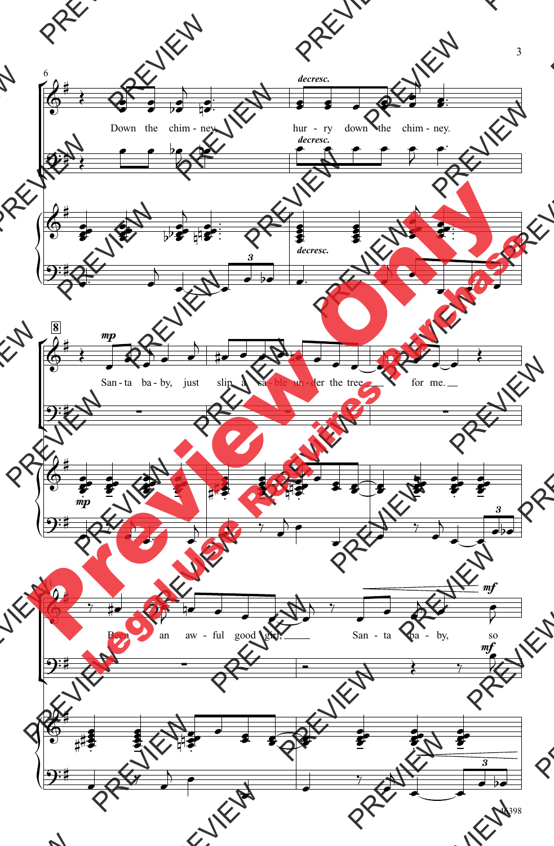

46398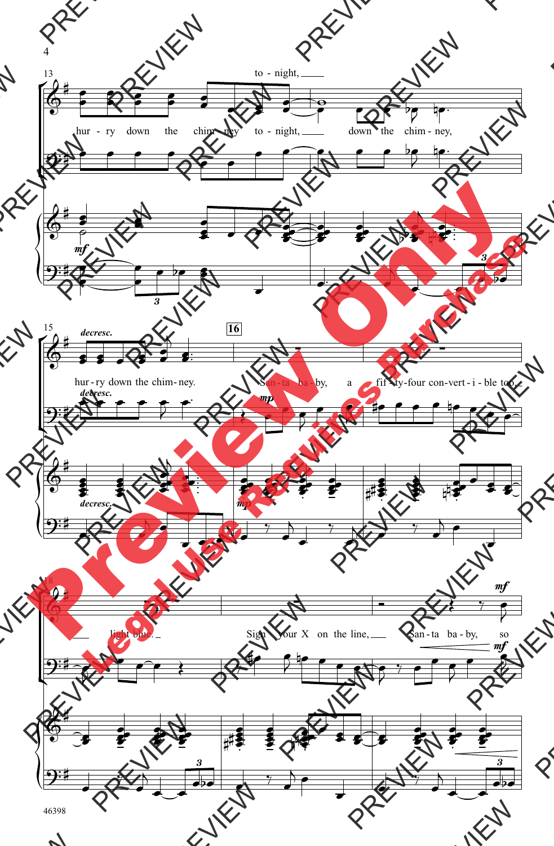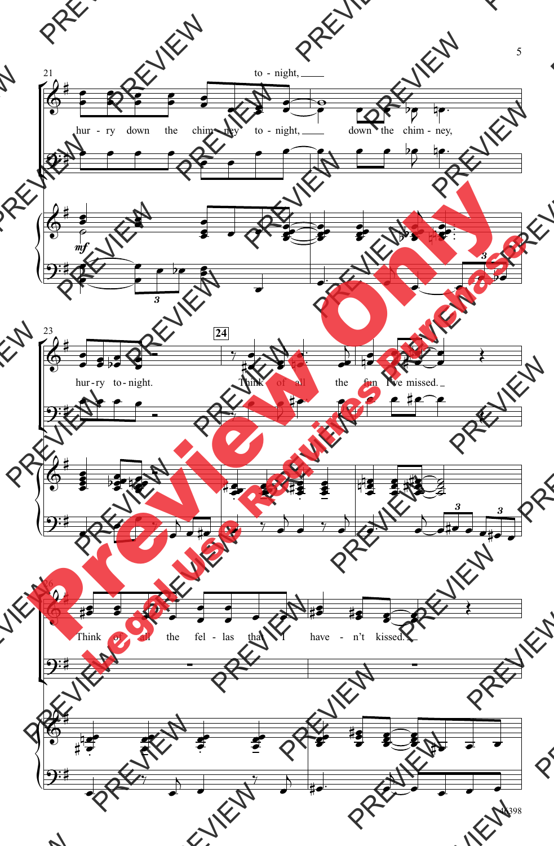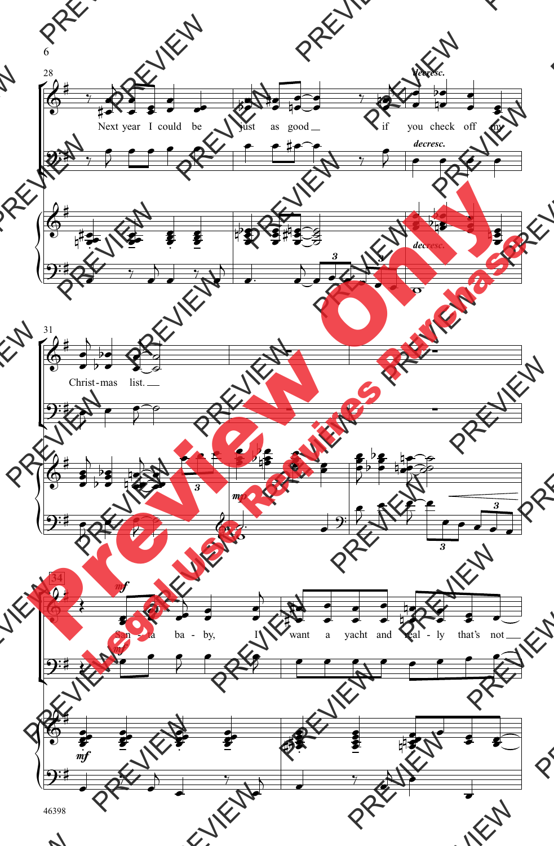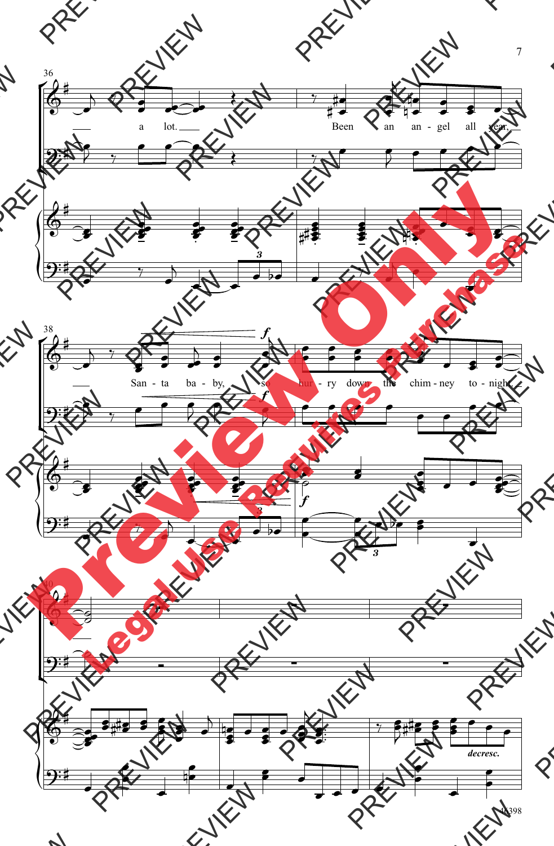

46398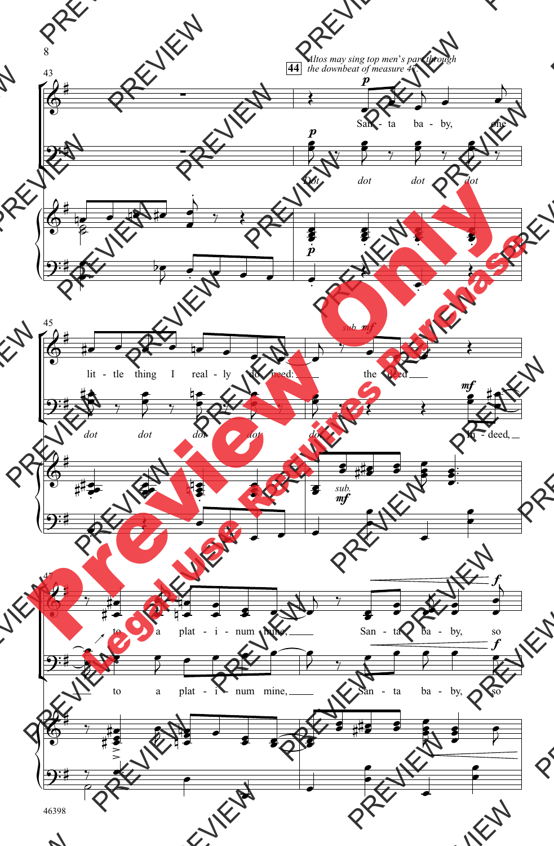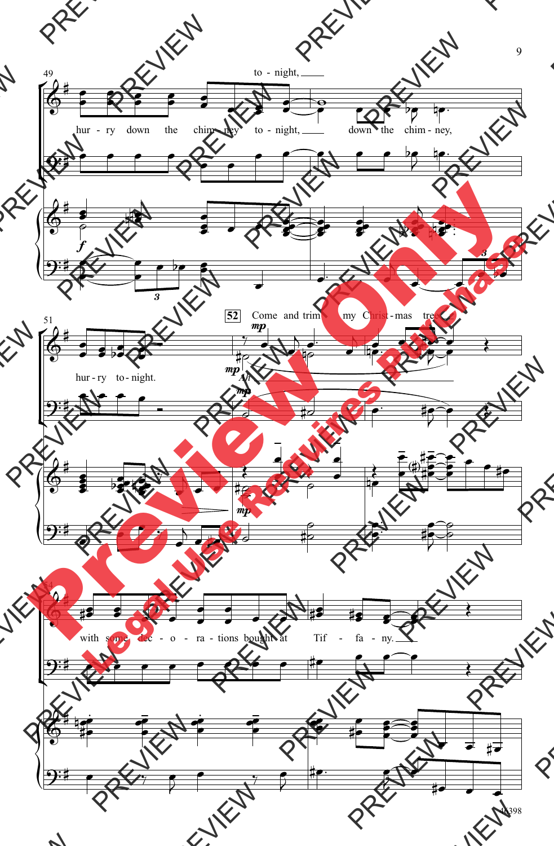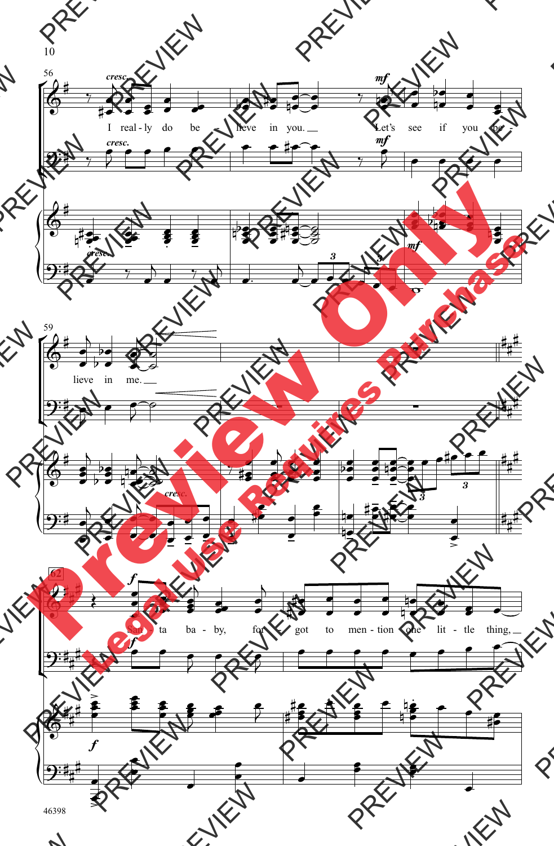

10

46398